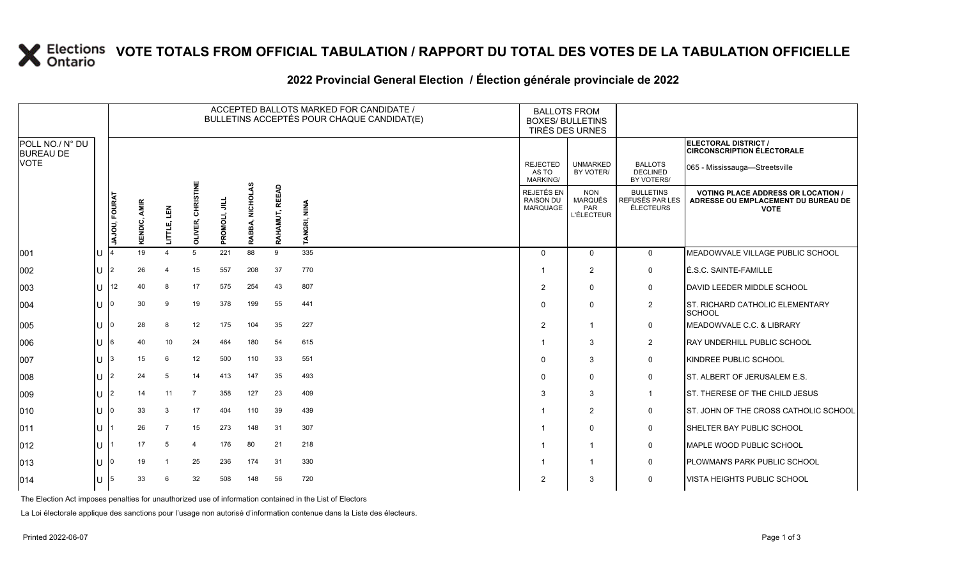# **X** Elections VOTE TOTALS FROM OFFICIAL TABULATION / RAPPORT DU TOTAL DES VOTES DE LA TABULATION OFFICIELLE

### **2022 Provincial General Election / Élection générale provinciale de 2022**

|                                     |    |                      |                        |                       |                      |               |                    | ACCEPTED BALLOTS MARKED FOR CANDIDATE /<br>BULLETINS ACCEPTÉS POUR CHAQUE CANDIDAT(E) | <b>BALLOTS FROM</b><br><b>BOXES/ BULLETINS</b><br>TIRÉS DES URNES |                                                          |                                                                 |                                                  |                                                                                                 |
|-------------------------------------|----|----------------------|------------------------|-----------------------|----------------------|---------------|--------------------|---------------------------------------------------------------------------------------|-------------------------------------------------------------------|----------------------------------------------------------|-----------------------------------------------------------------|--------------------------------------------------|-------------------------------------------------------------------------------------------------|
| POLL NO./ N° DU<br><b>BUREAU DE</b> |    |                      |                        |                       |                      |               |                    |                                                                                       |                                                                   |                                                          |                                                                 |                                                  | ELECTORAL DISTRICT /<br><b>CIRCONSCRIPTION ÉLECTORALE</b>                                       |
| <b>VOTE</b>                         |    |                      |                        |                       |                      |               |                    |                                                                                       |                                                                   | <b>REJECTED</b><br>AS TO<br>MARKING/                     | <b>UNMARKED</b><br>BY VOTER/                                    | <b>BALLOTS</b><br><b>DECLINED</b><br>BY VOTERS/  | 065 - Mississauga-Streetsville                                                                  |
|                                     |    | <b>JAJOU, FOURAT</b> | <b>AMIR</b><br>KENDIC, | 린<br>LITTLE,          | CHRISTINE<br>OLIVER, | PROMOLI, JILI | NICHOLAS<br>RABBA, | RAHAMUT, REEAD                                                                        | TANGRI, NINA                                                      | <b>REJETÉS EN</b><br><b>RAISON DU</b><br><b>MARQUAGE</b> | <b>NON</b><br><b>MARQUÉS</b><br><b>PAR</b><br><b>L'ÉLECTEUR</b> | <b>BULLETINS</b><br>REFUSÉS PAR LES<br>ÉLECTEURS | <b>VOTING PLACE ADDRESS OR LOCATION /</b><br>ADRESSE OU EMPLACEMENT DU BUREAU DE<br><b>VOTE</b> |
| 001                                 | lu |                      | 19                     | $\boldsymbol{\Delta}$ | 5                    | 221           | 88                 | 9                                                                                     | 335                                                               | $\Omega$                                                 | $\mathbf{0}$                                                    | $\mathbf 0$                                      | MEADOWVALE VILLAGE PUBLIC SCHOOL                                                                |
| 002                                 | lu | 2                    | 26                     | 4                     | 15                   | 557           | 208                | 37                                                                                    | 770                                                               | -1                                                       | 2                                                               | $\mathbf 0$                                      | LÉ.S.C. SAINTE-FAMILLE                                                                          |
| 003                                 | lu | 12                   | 40                     | 8                     | 17                   | 575           | 254                | 43                                                                                    | 807                                                               | 2                                                        | $\Omega$                                                        | $\mathbf 0$                                      | DAVID LEEDER MIDDLE SCHOOL                                                                      |
| 004                                 | lu |                      | 30                     | 9                     | 19                   | 378           | 199                | 55                                                                                    | 441                                                               | $\mathbf 0$                                              | $\Omega$                                                        | $\overline{2}$                                   | <b>ST. RICHARD CATHOLIC ELEMENTARY</b><br>SCHOOL                                                |
| 005                                 | lu |                      | 28                     | 8                     | 12                   | 175           | 104                | 35                                                                                    | 227                                                               | 2                                                        | -1                                                              | $\mathbf 0$                                      | MEADOWVALE C.C. & LIBRARY                                                                       |
| 006                                 | lu |                      | 40                     | 10                    | 24                   | 464           | 180                | 54                                                                                    | 615                                                               | $\overline{\mathbf{1}}$                                  | 3                                                               | $\overline{2}$                                   | <b>RAY UNDERHILL PUBLIC SCHOOL</b>                                                              |
| 007                                 | lU |                      | 15                     | 6                     | 12                   | 500           | 110                | 33                                                                                    | 551                                                               | $\Omega$                                                 | 3                                                               | $\mathbf 0$                                      | KINDREE PUBLIC SCHOOL                                                                           |
| 008                                 | lu |                      | 24                     | 5                     | 14                   | 413           | 147                | 35                                                                                    | 493                                                               | $\Omega$                                                 | $\Omega$                                                        | $\mathbf 0$                                      | ST. ALBERT OF JERUSALEM E.S.                                                                    |
| 009                                 | lu |                      | 14                     | 11                    | $\overline{7}$       | 358           | 127                | 23                                                                                    | 409                                                               | 3                                                        | 3                                                               | $\mathbf{1}$                                     | ST. THERESE OF THE CHILD JESUS                                                                  |
| 010                                 | lU |                      | 33                     | 3                     | 17                   | 404           | 110                | 39                                                                                    | 439                                                               | -1                                                       | 2                                                               | $\mathbf 0$                                      | ST. JOHN OF THE CROSS CATHOLIC SCHOOL                                                           |
| 011                                 | lu |                      | 26                     | $\overline{7}$        | 15                   | 273           | 148                | 31                                                                                    | 307                                                               |                                                          | $\Omega$                                                        | 0                                                | <b>SHELTER BAY PUBLIC SCHOOL</b>                                                                |
| 012                                 | lu |                      | 17                     | 5                     | $\overline{4}$       | 176           | 80                 | 21                                                                                    | 218                                                               | -1                                                       | -1                                                              | $\mathbf 0$                                      | MAPLE WOOD PUBLIC SCHOOL                                                                        |
| 013                                 | lu |                      | 19                     |                       | 25                   | 236           | 174                | 31                                                                                    | 330                                                               | -1                                                       |                                                                 | $\mathbf 0$                                      | PLOWMAN'S PARK PUBLIC SCHOOL                                                                    |
| 014                                 | lu | 5                    | 33                     |                       | 32                   | 508           | 148                | 56                                                                                    | 720                                                               | 2                                                        | 3                                                               | 0                                                | VISTA HEIGHTS PUBLIC SCHOOL                                                                     |

The Election Act imposes penalties for unauthorized use of information contained in the List of Electors

La Loi électorale applique des sanctions pour l'usage non autorisé d'information contenue dans la Liste des électeurs.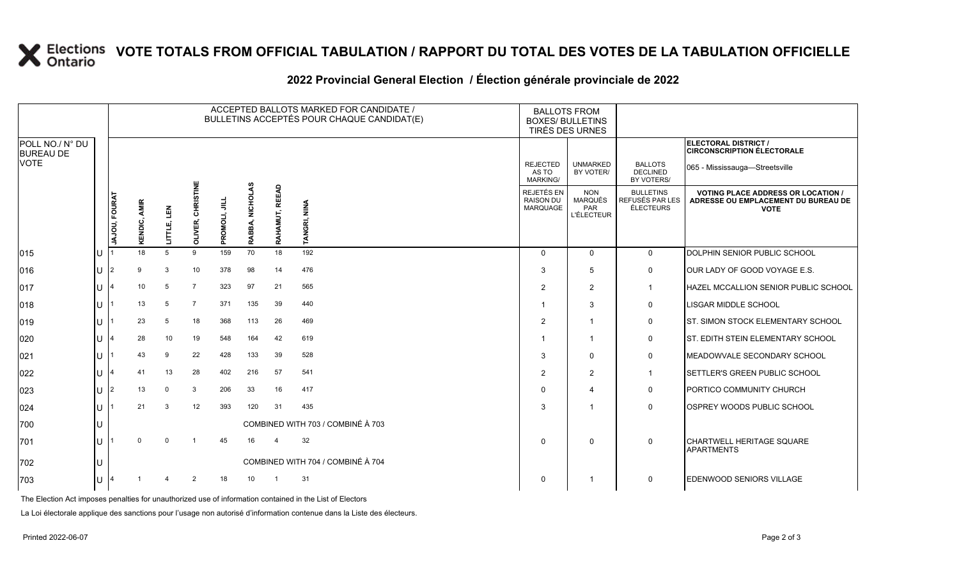# **X** Elections VOTE TOTALS FROM OFFICIAL TABULATION / RAPPORT DU TOTAL DES VOTES DE LA TABULATION OFFICIELLE

|                                             |                    |               |                        |             |                         |               |                           |                | ACCEPTED BALLOTS MARKED FOR CANDIDATE /<br>BULLETINS ACCEPTÉS POUR CHAQUE CANDIDAT(E) |                                             | <b>BALLOTS FROM</b><br><b>BOXES/ BULLETINS</b><br>TIRÉS DES URNES |                                                         |                                                                                                 |
|---------------------------------------------|--------------------|---------------|------------------------|-------------|-------------------------|---------------|---------------------------|----------------|---------------------------------------------------------------------------------------|---------------------------------------------|-------------------------------------------------------------------|---------------------------------------------------------|-------------------------------------------------------------------------------------------------|
| POLL NO./ N° DU<br><b>BUREAU DE</b><br>VOTE |                    |               |                        |             |                         |               |                           |                |                                                                                       |                                             | <b>UNMARKED</b><br>BY VOTER/                                      |                                                         | ELECTORAL DISTRICT /<br><b>CIRCONSCRIPTION ÉLECTORALE</b><br>065 - Mississauga—Streetsville     |
|                                             |                    |               |                        |             |                         |               |                           |                |                                                                                       | <b>REJECTED</b><br>AS TO<br><b>MARKING/</b> |                                                                   | <b>BALLOTS</b><br><b>DECLINED</b><br>BY VOTERS/         |                                                                                                 |
|                                             |                    | JAJOU, FOURAT | <b>AMIR</b><br>KENDIC, | LITTLE, LEN | RISTINE<br>동<br>OLIVER, | PROMOLI, JILL | <b>NICHOLAS</b><br>RABBA, | RAHAMUT, REEAD | TANGRI, NINA                                                                          | REJETÉS EN<br><b>RAISON DU</b><br>MARQUAGE  | <b>NON</b><br><b>MARQUÉS</b><br>PAR<br><b>L'ÉLECTEUR</b>          | <b>BULLETINS</b><br>REFUSÉS PAR LES<br><b>ÉLECTEURS</b> | <b>VOTING PLACE ADDRESS OR LOCATION /</b><br>ADRESSE OU EMPLACEMENT DU BUREAU DE<br><b>VOTE</b> |
| 015                                         | IU.                |               | 18                     | 5           | 9                       | 159           | 70                        | 18             | 192                                                                                   | $\Omega$                                    | $\Omega$                                                          | $\mathbf 0$                                             | DOLPHIN SENIOR PUBLIC SCHOOL                                                                    |
| 016                                         | IU                 | 12            | 9                      | 3           | 10                      | 378           | 98                        | 14             | 476                                                                                   | 3                                           | 5                                                                 | $\mathbf 0$                                             | OUR LADY OF GOOD VOYAGE E.S.                                                                    |
| 017                                         | IU.                |               | 10                     | 5           | $\overline{7}$          | 323           | 97                        | 21             | 565                                                                                   | 2                                           | 2                                                                 | $\mathbf 1$                                             | <b>HAZEL MCCALLION SENIOR PUBLIC SCHOOL</b>                                                     |
| 018                                         | IU.                |               | 13                     | 5           | $\overline{7}$          | 371           | 135                       | 39             | 440                                                                                   |                                             | 3                                                                 | $\mathbf 0$                                             | <b>LISGAR MIDDLE SCHOOL</b>                                                                     |
| 019                                         | IU.                |               | 23                     | 5           | 18                      | 368           | 113                       | 26             | 469                                                                                   | 2                                           | -1                                                                | 0                                                       | <b>ST. SIMON STOCK ELEMENTARY SCHOOL</b>                                                        |
| 020                                         | IU.                |               | 28                     | 10          | 19                      | 548           | 164                       | 42             | 619                                                                                   |                                             | -1                                                                | $\mathbf 0$                                             | <b>ST. EDITH STEIN ELEMENTARY SCHOOL</b>                                                        |
| 021                                         | IU                 |               | 43                     | 9           | 22                      | 428           | 133                       | 39             | 528                                                                                   | 3                                           | $\mathbf 0$                                                       | 0                                                       | MEADOWVALE SECONDARY SCHOOL                                                                     |
| 022                                         | IU.                |               | 41                     | 13          | 28                      | 402           | 216                       | 57             | 541                                                                                   | $\overline{2}$                              | 2                                                                 | $\mathbf{1}$                                            | <b>SETTLER'S GREEN PUBLIC SCHOOL</b>                                                            |
| 023                                         | IU.                |               | 13                     | 0           | 3                       | 206           | 33                        | 16             | 417                                                                                   | $\Omega$                                    | $\boldsymbol{\Delta}$                                             | $\mathbf 0$                                             | <b>PORTICO COMMUNITY CHURCH</b>                                                                 |
| 024                                         | IU.                |               | 21                     | 3           | 12                      | 393           | 120                       | 31             | 435                                                                                   | 3                                           | -1                                                                | 0                                                       | <b>OSPREY WOODS PUBLIC SCHOOL</b>                                                               |
| 700                                         | IU                 |               |                        |             |                         |               |                           |                | COMBINED WITH 703 / COMBINÉ À 703                                                     |                                             |                                                                   |                                                         |                                                                                                 |
| 701                                         | IU.                |               | $\Omega$               | $\Omega$    | $\overline{\mathbf{1}}$ | 45            | 16                        | $\overline{4}$ | 32                                                                                    | $\Omega$                                    | $\Omega$                                                          | $\mathbf 0$                                             | <b>CHARTWELL HERITAGE SQUARE</b><br><b>APARTMENTS</b>                                           |
| 702                                         | IU                 |               |                        |             |                         |               |                           |                | COMBINED WITH 704 / COMBINÉ À 704                                                     |                                             |                                                                   |                                                         |                                                                                                 |
| 703                                         | $ U $ <sup>4</sup> |               |                        | 4           | $\overline{2}$          | 18            | 10 <sup>1</sup>           | $\overline{1}$ | 31                                                                                    | 0                                           | -1                                                                | $\mathbf 0$                                             | <b>EDENWOOD SENIORS VILLAGE</b>                                                                 |

### **2022 Provincial General Election / Élection générale provinciale de 2022**

The Election Act imposes penalties for unauthorized use of information contained in the List of Electors

La Loi électorale applique des sanctions pour l'usage non autorisé d'information contenue dans la Liste des électeurs.

 $|015\rangle$